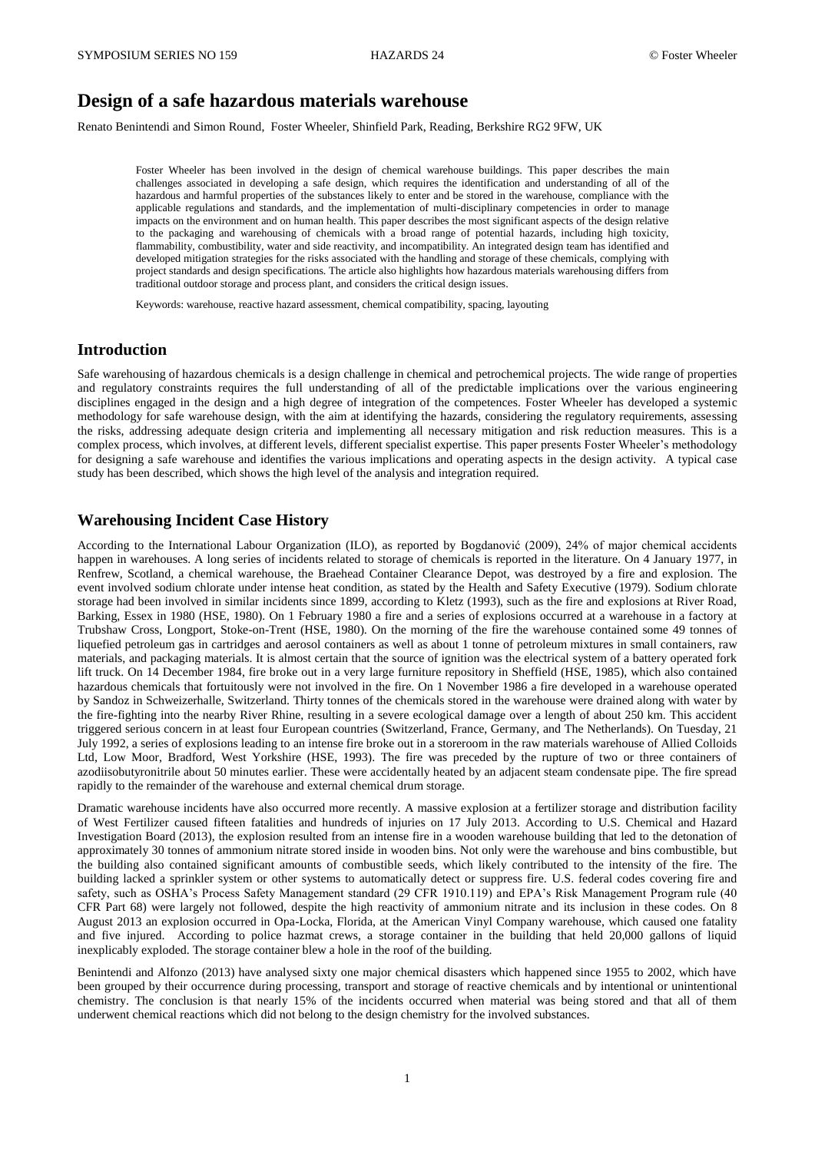# **Design of a safe hazardous materials warehouse**

Renato Benintendi and Simon Round, Foster Wheeler, Shinfield Park, Reading, Berkshire RG2 9FW, UK

Foster Wheeler has been involved in the design of chemical warehouse buildings. This paper describes the main challenges associated in developing a safe design, which requires the identification and understanding of all of the hazardous and harmful properties of the substances likely to enter and be stored in the warehouse, compliance with the applicable regulations and standards, and the implementation of multi-disciplinary competencies in order to manage impacts on the environment and on human health. This paper describes the most significant aspects of the design relative to the packaging and warehousing of chemicals with a broad range of potential hazards, including high toxicity, flammability, combustibility, water and side reactivity, and incompatibility. An integrated design team has identified and developed mitigation strategies for the risks associated with the handling and storage of these chemicals, complying with project standards and design specifications. The article also highlights how hazardous materials warehousing differs from traditional outdoor storage and process plant, and considers the critical design issues.

Keywords: warehouse, reactive hazard assessment, chemical compatibility, spacing, layouting

### **Introduction**

Safe warehousing of hazardous chemicals is a design challenge in chemical and petrochemical projects. The wide range of properties and regulatory constraints requires the full understanding of all of the predictable implications over the various engineering disciplines engaged in the design and a high degree of integration of the competences. Foster Wheeler has developed a systemic methodology for safe warehouse design, with the aim at identifying the hazards, considering the regulatory requirements, assessing the risks, addressing adequate design criteria and implementing all necessary mitigation and risk reduction measures. This is a complex process, which involves, at different levels, different specialist expertise. This paper presents Foster Wheeler's methodology for designing a safe warehouse and identifies the various implications and operating aspects in the design activity. A typical case study has been described, which shows the high level of the analysis and integration required.

## **Warehousing Incident Case History**

According to the International Labour Organization (ILO), as reported by Bogdanović (2009), 24% of major chemical accidents happen in warehouses. A long series of incidents related to storage of chemicals is reported in the literature. On 4 January 1977, in Renfrew, Scotland, a chemical warehouse, the Braehead Container Clearance Depot, was destroyed by a fire and explosion. The event involved sodium chlorate under intense heat condition, as stated by the Health and Safety Executive (1979). Sodium chlorate storage had been involved in similar incidents since 1899, according to Kletz (1993), such as the fire and explosions at River Road, Barking, Essex in 1980 (HSE, 1980). On 1 February 1980 a fire and a series of explosions occurred at a warehouse in a factory at Trubshaw Cross, Longport, Stoke-on-Trent (HSE, 1980). On the morning of the fire the warehouse contained some 49 tonnes of liquefied petroleum gas in cartridges and aerosol containers as well as about 1 tonne of petroleum mixtures in small containers, raw materials, and packaging materials. It is almost certain that the source of ignition was the electrical system of a battery operated fork lift truck. On 14 December 1984, fire broke out in a very large furniture repository in Sheffield (HSE, 1985), which also contained hazardous chemicals that fortuitously were not involved in the fire. On 1 November 1986 a fire developed in a warehouse operated by Sandoz in Schweizerhalle, Switzerland. Thirty tonnes of the chemicals stored in the warehouse were drained along with water by the fire-fighting into the nearby River Rhine, resulting in a severe ecological damage over a length of about 250 km. This accident triggered serious concern in at least four European countries (Switzerland, France, Germany, and The Netherlands). On Tuesday, 21 July 1992, a series of explosions leading to an intense fire broke out in a storeroom in the raw materials warehouse of Allied Colloids Ltd, Low Moor, Bradford, West Yorkshire (HSE, 1993). The fire was preceded by the rupture of two or three containers of azodiisobutyronitrile about 50 minutes earlier. These were accidentally heated by an adjacent steam condensate pipe. The fire spread rapidly to the remainder of the warehouse and external chemical drum storage.

Dramatic warehouse incidents have also occurred more recently. A massive explosion at a fertilizer storage and distribution facility of West Fertilizer caused fifteen fatalities and hundreds of injuries on 17 July 2013. According to U.S. Chemical and Hazard Investigation Board (2013), the explosion resulted from an intense fire in a wooden warehouse building that led to the detonation of approximately 30 tonnes of ammonium nitrate stored inside in wooden bins. Not only were the warehouse and bins combustible, but the building also contained significant amounts of combustible seeds, which likely contributed to the intensity of the fire. The building lacked a sprinkler system or other systems to automatically detect or suppress fire. U.S. federal codes covering fire and safety, such as OSHA's Process Safety Management standard (29 CFR 1910.119) and EPA's Risk Management Program rule (40 CFR Part 68) were largely not followed, despite the high reactivity of ammonium nitrate and its inclusion in these codes. On 8 August 2013 an explosion occurred in Opa-Locka, Florida, at the American Vinyl Company warehouse, which caused one fatality and five injured. According to police hazmat crews, a storage container in the building that held 20,000 gallons of liquid inexplicably exploded. The storage container blew a hole in the roof of the building.

Benintendi and Alfonzo (2013) have analysed sixty one major chemical disasters which happened since 1955 to 2002, which have been grouped by their occurrence during processing, transport and storage of reactive chemicals and by intentional or unintentional chemistry. The conclusion is that nearly 15% of the incidents occurred when material was being stored and that all of them underwent chemical reactions which did not belong to the design chemistry for the involved substances.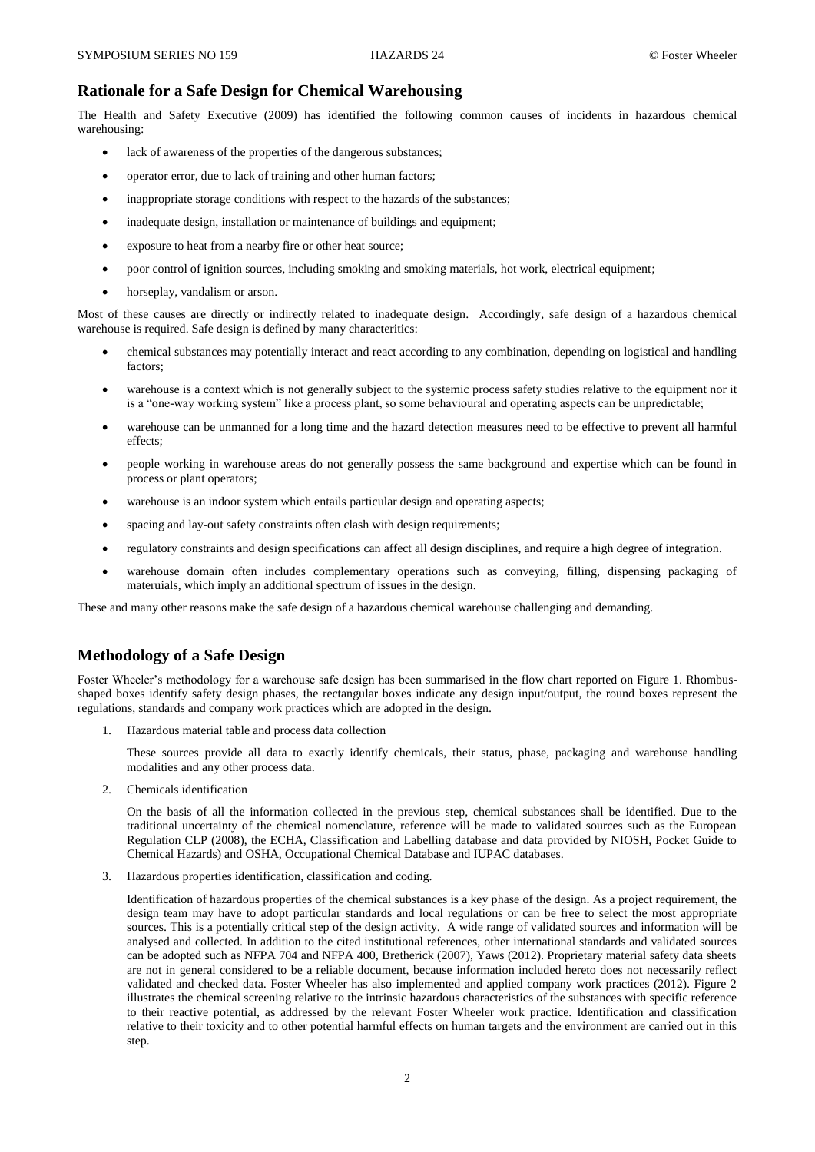### **Rationale for a Safe Design for Chemical Warehousing**

The Health and Safety Executive (2009) has identified the following common causes of incidents in hazardous chemical warehousing:

- lack of awareness of the properties of the dangerous substances;
- operator error, due to lack of training and other human factors;
- inappropriate storage conditions with respect to the hazards of the substances;
- inadequate design, installation or maintenance of buildings and equipment;
- exposure to heat from a nearby fire or other heat source;
- poor control of ignition sources, including smoking and smoking materials, hot work, electrical equipment;
- horseplay, vandalism or arson.

Most of these causes are directly or indirectly related to inadequate design. Accordingly, safe design of a hazardous chemical warehouse is required. Safe design is defined by many characteritics:

- chemical substances may potentially interact and react according to any combination, depending on logistical and handling factors;
- warehouse is a context which is not generally subject to the systemic process safety studies relative to the equipment nor it is a "one-way working system" like a process plant, so some behavioural and operating aspects can be unpredictable;
- warehouse can be unmanned for a long time and the hazard detection measures need to be effective to prevent all harmful effects;
- people working in warehouse areas do not generally possess the same background and expertise which can be found in process or plant operators;
- warehouse is an indoor system which entails particular design and operating aspects;
- spacing and lay-out safety constraints often clash with design requirements;
- regulatory constraints and design specifications can affect all design disciplines, and require a high degree of integration.
- warehouse domain often includes complementary operations such as conveying, filling, dispensing packaging of materuials, which imply an additional spectrum of issues in the design.

These and many other reasons make the safe design of a hazardous chemical warehouse challenging and demanding.

## **Methodology of a Safe Design**

Foster Wheeler's methodology for a warehouse safe design has been summarised in the flow chart reported on Figure 1. Rhombusshaped boxes identify safety design phases, the rectangular boxes indicate any design input/output, the round boxes represent the regulations, standards and company work practices which are adopted in the design.

1. Hazardous material table and process data collection

These sources provide all data to exactly identify chemicals, their status, phase, packaging and warehouse handling modalities and any other process data.

2. Chemicals identification

On the basis of all the information collected in the previous step, chemical substances shall be identified. Due to the traditional uncertainty of the chemical nomenclature, reference will be made to validated sources such as the European Regulation CLP (2008), the ECHA, Classification and Labelling database and data provided by NIOSH, Pocket Guide to Chemical Hazards) and OSHA, Occupational Chemical Database and IUPAC databases.

3. Hazardous properties identification, classification and coding.

Identification of hazardous properties of the chemical substances is a key phase of the design. As a project requirement, the design team may have to adopt particular standards and local regulations or can be free to select the most appropriate sources. This is a potentially critical step of the design activity. A wide range of validated sources and information will be analysed and collected. In addition to the cited institutional references, other international standards and validated sources can be adopted such as NFPA 704 and NFPA 400, Bretherick (2007), Yaws (2012). Proprietary material safety data sheets are not in general considered to be a reliable document, because information included hereto does not necessarily reflect validated and checked data. Foster Wheeler has also implemented and applied company work practices (2012). Figure 2 illustrates the chemical screening relative to the intrinsic hazardous characteristics of the substances with specific reference to their reactive potential, as addressed by the relevant Foster Wheeler work practice. Identification and classification relative to their toxicity and to other potential harmful effects on human targets and the environment are carried out in this step.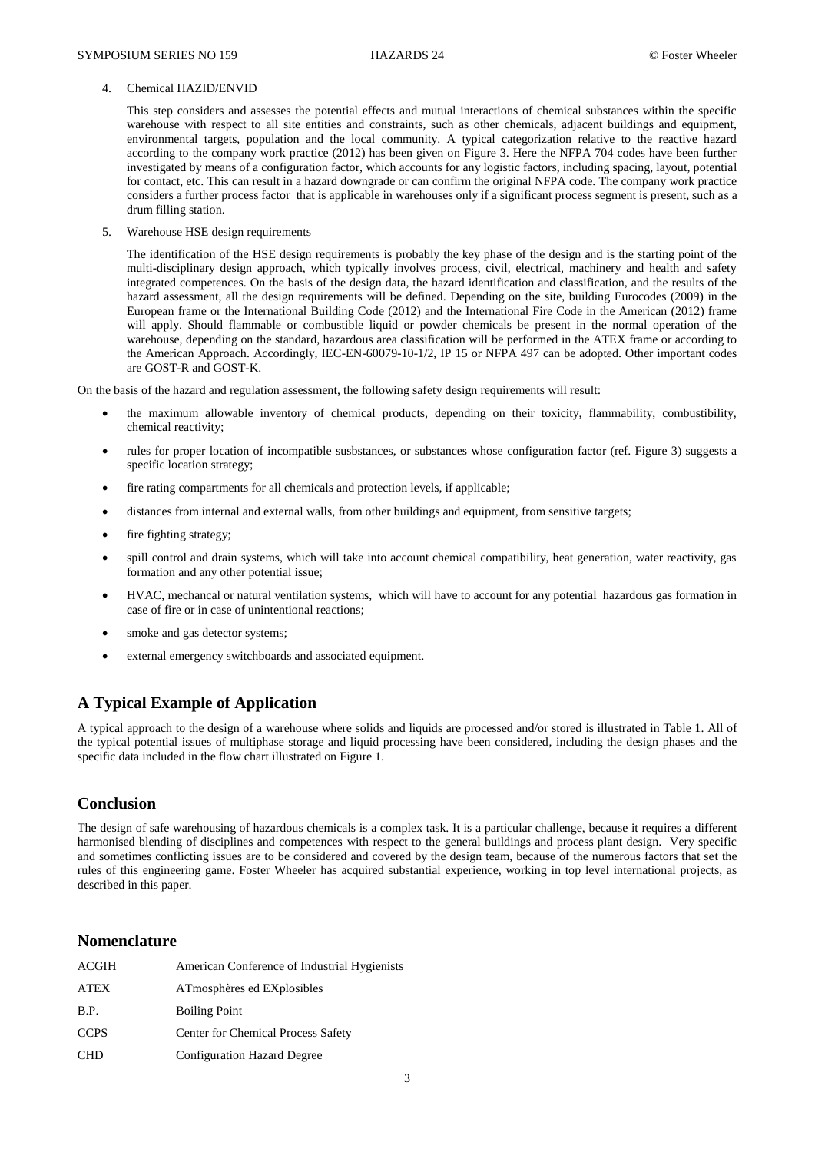#### 4. Chemical HAZID/ENVID

This step considers and assesses the potential effects and mutual interactions of chemical substances within the specific warehouse with respect to all site entities and constraints, such as other chemicals, adjacent buildings and equipment, environmental targets, population and the local community. A typical categorization relative to the reactive hazard according to the company work practice (2012) has been given on Figure 3. Here the NFPA 704 codes have been further investigated by means of a configuration factor, which accounts for any logistic factors, including spacing, layout, potential for contact, etc. This can result in a hazard downgrade or can confirm the original NFPA code. The company work practice considers a further process factor that is applicable in warehouses only if a significant process segment is present, such as a drum filling station.

5. Warehouse HSE design requirements

The identification of the HSE design requirements is probably the key phase of the design and is the starting point of the multi-disciplinary design approach, which typically involves process, civil, electrical, machinery and health and safety integrated competences. On the basis of the design data, the hazard identification and classification, and the results of the hazard assessment, all the design requirements will be defined. Depending on the site, building Eurocodes (2009) in the European frame or the International Building Code (2012) and the International Fire Code in the American (2012) frame will apply. Should flammable or combustible liquid or powder chemicals be present in the normal operation of the warehouse, depending on the standard, hazardous area classification will be performed in the ATEX frame or according to the American Approach. Accordingly, IEC-EN-60079-10-1/2, IP 15 or NFPA 497 can be adopted. Other important codes are GOST-R and GOST-K.

On the basis of the hazard and regulation assessment, the following safety design requirements will result:

- the maximum allowable inventory of chemical products, depending on their toxicity, flammability, combustibility, chemical reactivity;
- rules for proper location of incompatible susbstances, or substances whose configuration factor (ref. Figure 3) suggests a specific location strategy;
- fire rating compartments for all chemicals and protection levels, if applicable;
- distances from internal and external walls, from other buildings and equipment, from sensitive targets;
- fire fighting strategy;
- spill control and drain systems, which will take into account chemical compatibility, heat generation, water reactivity, gas formation and any other potential issue;
- HVAC, mechancal or natural ventilation systems, which will have to account for any potential hazardous gas formation in case of fire or in case of unintentional reactions;
- smoke and gas detector systems;
- external emergency switchboards and associated equipment.

## **A Typical Example of Application**

A typical approach to the design of a warehouse where solids and liquids are processed and/or stored is illustrated in Table 1. All of the typical potential issues of multiphase storage and liquid processing have been considered, including the design phases and the specific data included in the flow chart illustrated on Figure 1.

## **Conclusion**

The design of safe warehousing of hazardous chemicals is a complex task. It is a particular challenge, because it requires a different harmonised blending of disciplines and competences with respect to the general buildings and process plant design. Very specific and sometimes conflicting issues are to be considered and covered by the design team, because of the numerous factors that set the rules of this engineering game. Foster Wheeler has acquired substantial experience, working in top level international projects, as described in this paper.

### **Nomenclature**

| ACGIH       | American Conference of Industrial Hygienists |
|-------------|----------------------------------------------|
| <b>ATEX</b> | ATmosphères ed EXplosibles                   |
| B.P.        | <b>Boiling Point</b>                         |
| <b>CCPS</b> | Center for Chemical Process Safety           |
| <b>CHD</b>  | <b>Configuration Hazard Degree</b>           |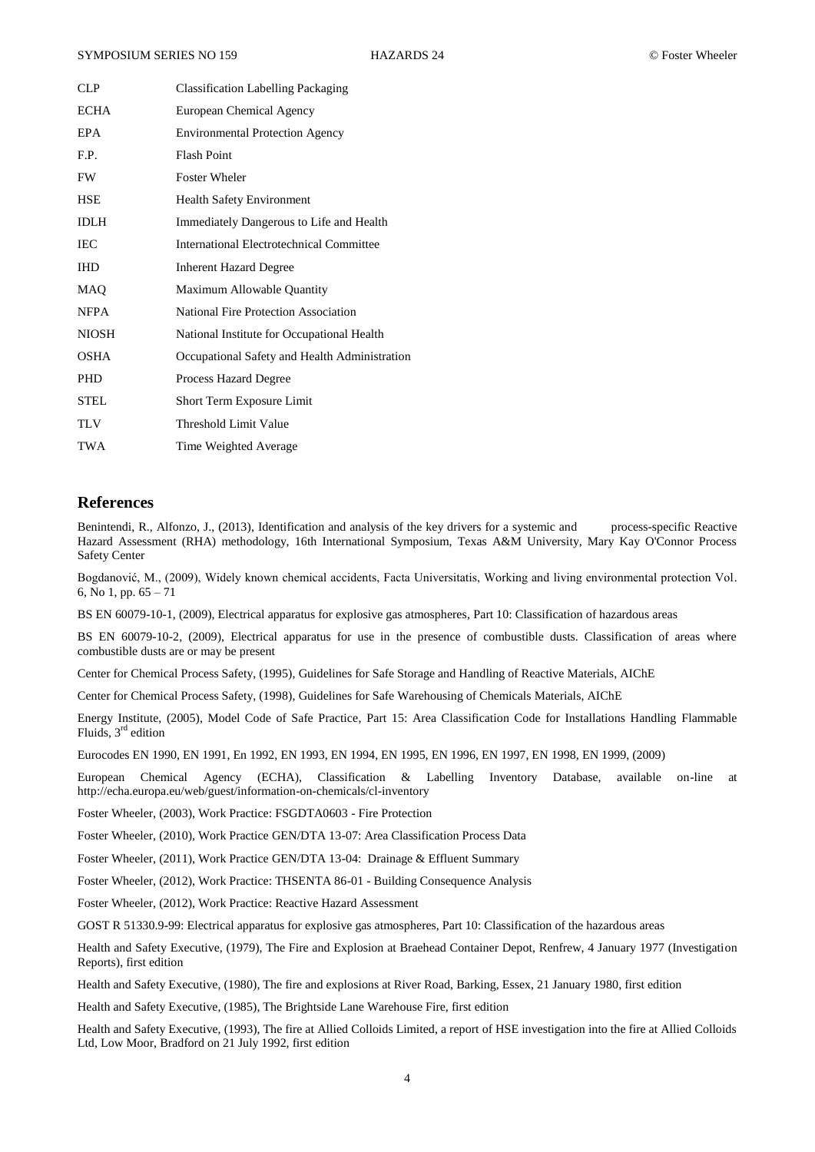| CLP          | <b>Classification Labelling Packaging</b>     |  |  |
|--------------|-----------------------------------------------|--|--|
| <b>ECHA</b>  | European Chemical Agency                      |  |  |
| EPA          | <b>Environmental Protection Agency</b>        |  |  |
| F.P.         | <b>Flash Point</b>                            |  |  |
| FW           | <b>Foster Wheler</b>                          |  |  |
| <b>HSE</b>   | <b>Health Safety Environment</b>              |  |  |
| <b>IDLH</b>  | Immediately Dangerous to Life and Health      |  |  |
| IEC          | International Electrotechnical Committee      |  |  |
| <b>IHD</b>   | <b>Inherent Hazard Degree</b>                 |  |  |
| MAQ          | Maximum Allowable Quantity                    |  |  |
| <b>NFPA</b>  | <b>National Fire Protection Association</b>   |  |  |
| <b>NIOSH</b> | National Institute for Occupational Health    |  |  |
| OSHA         | Occupational Safety and Health Administration |  |  |
| <b>PHD</b>   | <b>Process Hazard Degree</b>                  |  |  |
| <b>STEL</b>  | Short Term Exposure Limit                     |  |  |
| <b>TLV</b>   | Threshold Limit Value                         |  |  |
| <b>TWA</b>   | Time Weighted Average                         |  |  |

### **References**

Benintendi, R., Alfonzo, J., (2013), Identification and analysis of the key drivers for a systemic and process-specific Reactive Hazard Assessment (RHA) methodology, 16th International Symposium, Texas A&M University, Mary Kay O'Connor Process Safety Center

Bogdanović, M., (2009), Widely known chemical accidents, Facta Universitatis, Working and living environmental protection Vol. 6, No 1, pp. 65 – 71

BS EN 60079-10-1, (2009), Electrical apparatus for explosive gas atmospheres, Part 10: Classification of hazardous areas

BS EN 60079-10-2, (2009), Electrical apparatus for use in the presence of combustible dusts. Classification of areas where combustible dusts are or may be present

Center for Chemical Process Safety, (1995), Guidelines for Safe Storage and Handling of Reactive Materials, AIChE

Center for Chemical Process Safety, (1998), Guidelines for Safe Warehousing of Chemicals Materials, AIChE

Energy Institute, (2005), Model Code of Safe Practice, Part 15: Area Classification Code for Installations Handling Flammable Fluids, 3rd edition

Eurocodes EN 1990, EN 1991, En 1992, EN 1993, EN 1994, EN 1995, EN 1996, EN 1997, EN 1998, EN 1999, (2009)

European Chemical Agency (ECHA), Classification & Labelling Inventory Database, available on-line at <http://echa.europa.eu/web/guest/information-on-chemicals/cl-inventory>

Foster Wheeler, (2003), Work Practice: FSGDTA0603 - Fire Protection

Foster Wheeler, (2010), Work Practice GEN/DTA 13-07: Area Classification Process Data

Foster Wheeler, (2011), Work Practice GEN/DTA 13-04: Drainage & Effluent Summary

Foster Wheeler, (2012), Work Practice: THSENTA 86-01 - Building Consequence Analysis

Foster Wheeler, (2012), Work Practice: Reactive Hazard Assessment

GOST R 51330.9-99: Electrical apparatus for explosive gas atmospheres, Part 10: Classification of the hazardous areas

Health and Safety Executive, (1979), The Fire and Explosion at Braehead Container Depot, Renfrew, 4 January 1977 (Investigation Reports), first edition

Health and Safety Executive, (1980), The fire and explosions at River Road, Barking, Essex, 21 January 1980, first edition

Health and Safety Executive, (1985), The Brightside Lane Warehouse Fire, first edition

Health and Safety Executive, (1993), The fire at Allied Colloids Limited, a report of HSE investigation into the fire at Allied Colloids Ltd, Low Moor, Bradford on 21 July 1992, first edition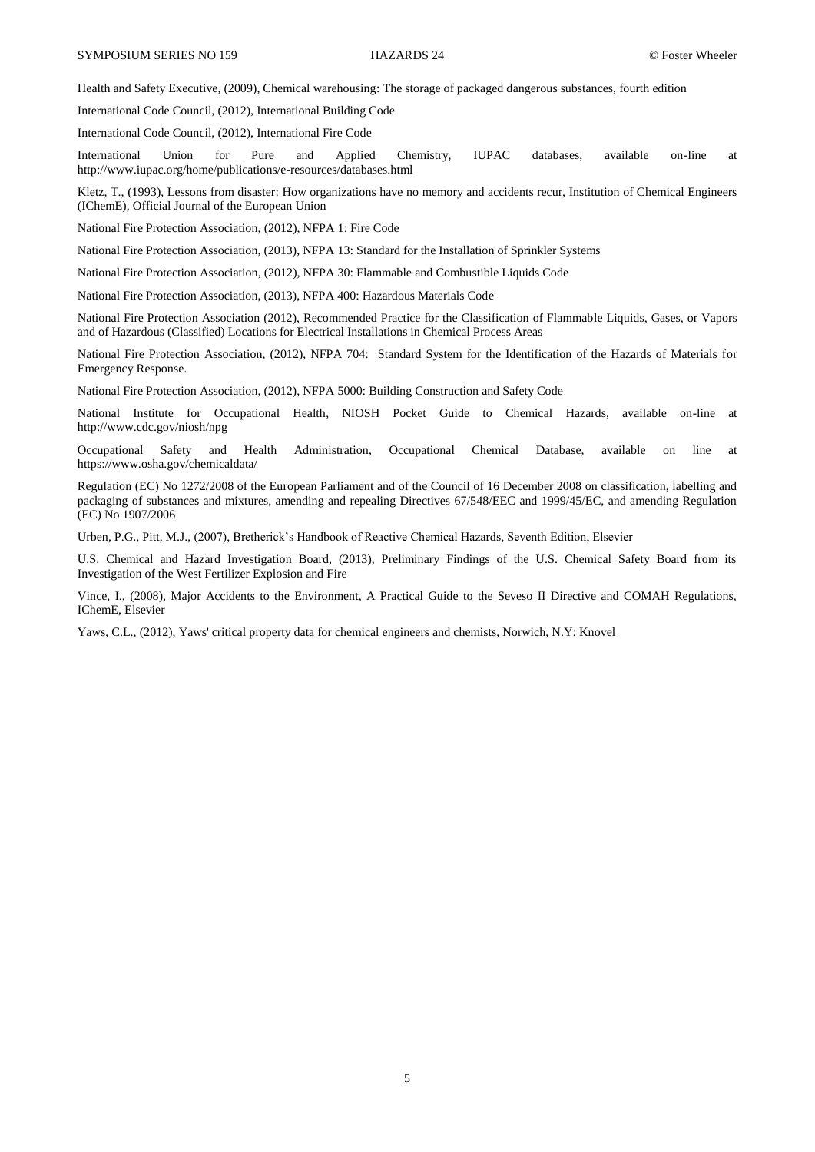Health and Safety Executive, (2009), Chemical warehousing: The storage of packaged dangerous substances, fourth edition

International Code Council, (2012), International Building Code

International Code Council, (2012), International Fire Code

International Union for Pure and Applied Chemistry, IUPAC databases, available on-line at <http://www.iupac.org/home/publications/e-resources/databases.html>

Kletz, T., (1993), Lessons from disaster: How organizations have no memory and accidents recur, Institution of Chemical Engineers (IChemE), Official Journal of the European Union

National Fire Protection Association, (2012), NFPA 1: Fire Code

National Fire Protection Association, (2013), NFPA 13: Standard for the Installation of Sprinkler Systems

National Fire Protection Association, (2012), NFPA 30: Flammable and Combustible Liquids Code

National Fire Protection Association, (2013), NFPA 400: Hazardous Materials Code

National Fire Protection Association (2012), Recommended Practice for the Classification of Flammable Liquids, Gases, or Vapors and of Hazardous (Classified) Locations for Electrical Installations in Chemical Process Areas

National Fire Protection Association, (2012), NFPA 704: Standard System for the Identification of the Hazards of Materials for Emergency Response.

National Fire Protection Association, (2012), NFPA 5000: Building Construction and Safety Code

National Institute for Occupational Health, NIOSH Pocket Guide to Chemical Hazards, available on-line at <http://www.cdc.gov/niosh/npg>

Occupational Safety and Health Administration, Occupational Chemical Database, available on line at <https://www.osha.gov/chemicaldata/>

Regulation (EC) No 1272/2008 of the European Parliament and of the Council of 16 December 2008 on classification, labelling and packaging of substances and mixtures, amending and repealing Directives 67/548/EEC and 1999/45/EC, and amending Regulation (EC) No 1907/2006

Urben, P.G., Pitt, M.J., (2007), Bretherick's Handbook of Reactive Chemical Hazards, Seventh Edition, Elsevier

U.S. Chemical and Hazard Investigation Board, (2013), Preliminary Findings of the U.S. Chemical Safety Board from its Investigation of the West Fertilizer Explosion and Fire

Vince, I., (2008), Major Accidents to the Environment, A Practical Guide to the Seveso II Directive and COMAH Regulations, IChemE, Elsevier

Yaws, C.L., (2012), Yaws' critical property data for chemical engineers and chemists, Norwich, N.Y: Knovel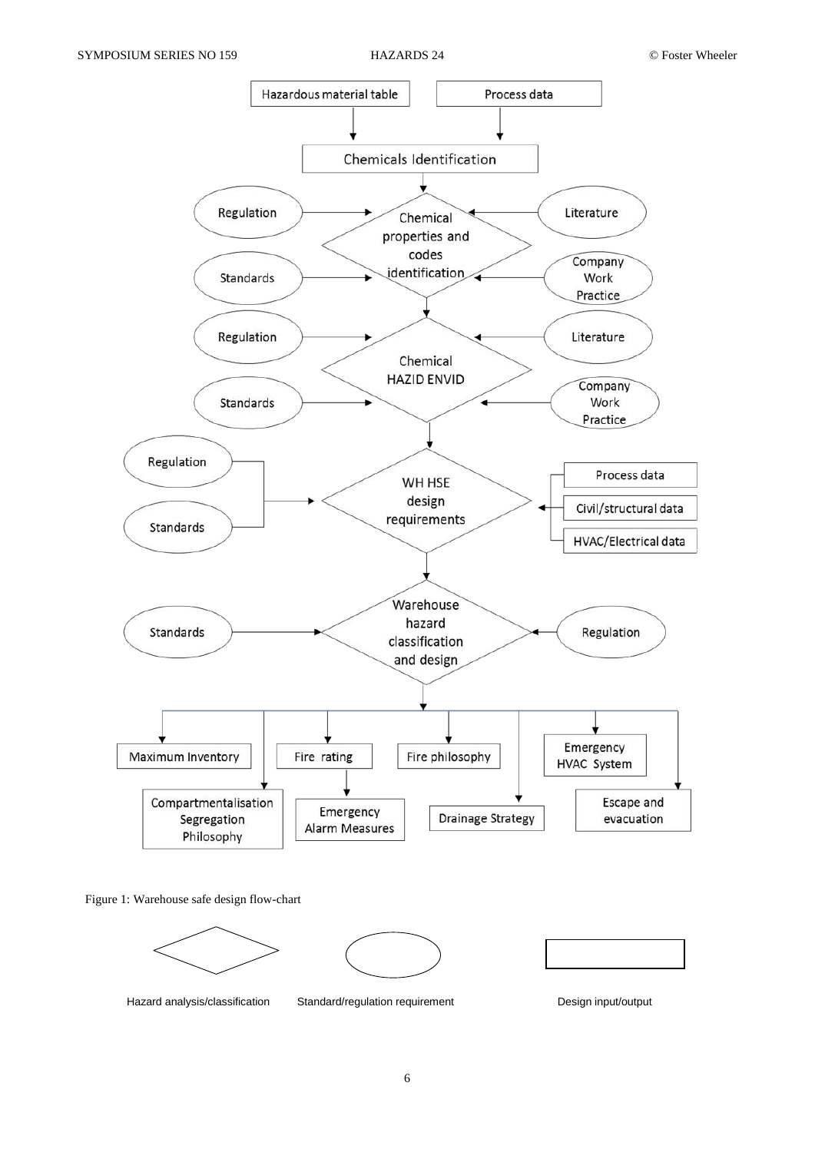

Figure 1: Warehouse safe design flow-chart







Hazard analysis/classification Standard/regulation requirement Design input/output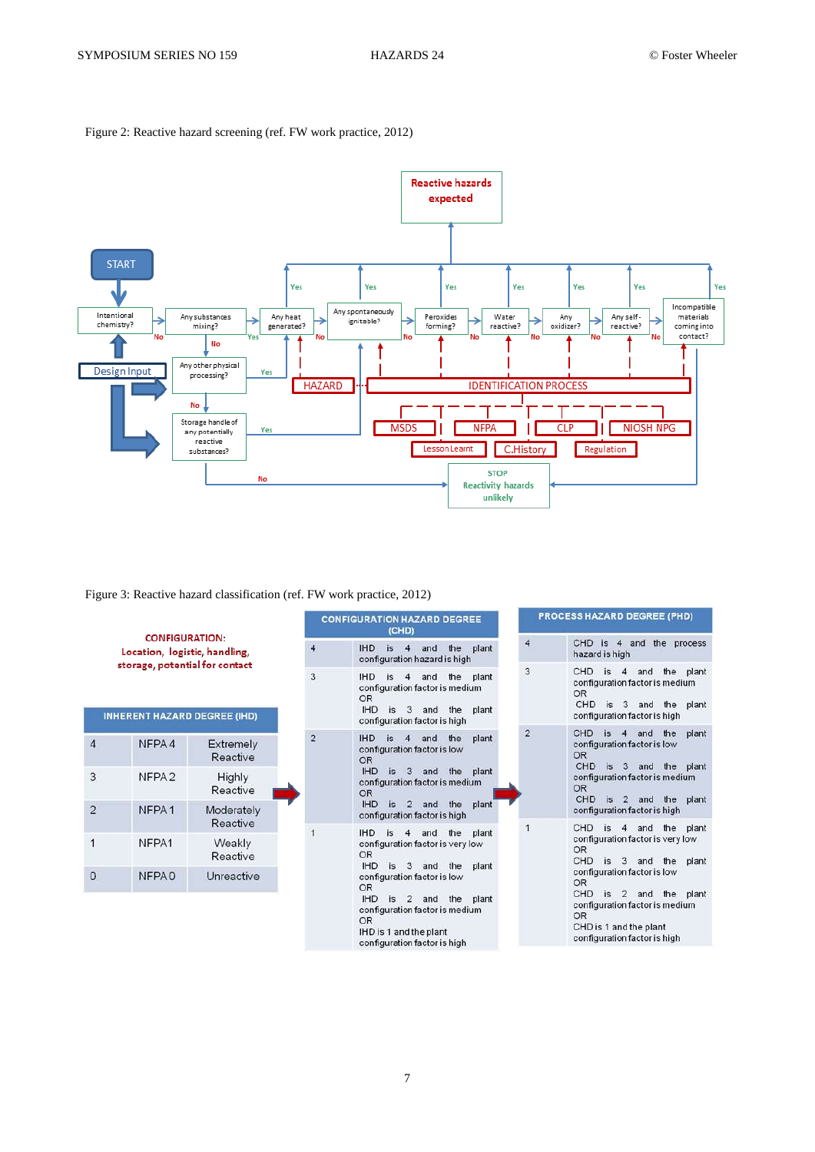



Figure 3: Reactive hazard classification (ref. FW work practice, 2012)